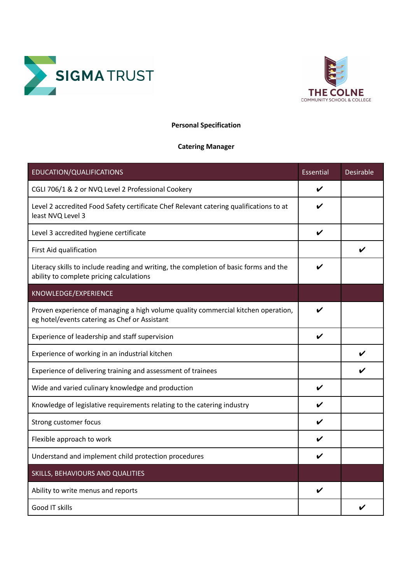



## **Personal Specification**

## **Catering Manager**

| EDUCATION/QUALIFICATIONS                                                                                                           | Essential    | <b>Desirable</b> |
|------------------------------------------------------------------------------------------------------------------------------------|--------------|------------------|
| CGLI 706/1 & 2 or NVQ Level 2 Professional Cookery                                                                                 | V            |                  |
| Level 2 accredited Food Safety certificate Chef Relevant catering qualifications to at<br>least NVQ Level 3                        | V            |                  |
| Level 3 accredited hygiene certificate                                                                                             | V            |                  |
| First Aid qualification                                                                                                            |              | ✓                |
| Literacy skills to include reading and writing, the completion of basic forms and the<br>ability to complete pricing calculations  | ✔            |                  |
| KNOWLEDGE/EXPERIENCE                                                                                                               |              |                  |
| Proven experience of managing a high volume quality commercial kitchen operation,<br>eg hotel/events catering as Chef or Assistant |              |                  |
| Experience of leadership and staff supervision                                                                                     | V            |                  |
| Experience of working in an industrial kitchen                                                                                     |              |                  |
| Experience of delivering training and assessment of trainees                                                                       |              |                  |
| Wide and varied culinary knowledge and production                                                                                  | V            |                  |
| Knowledge of legislative requirements relating to the catering industry                                                            | V            |                  |
| Strong customer focus                                                                                                              | $\checkmark$ |                  |
| Flexible approach to work                                                                                                          | V            |                  |
| Understand and implement child protection procedures                                                                               | ✔            |                  |
| SKILLS, BEHAVIOURS AND QUALITIES                                                                                                   |              |                  |
| Ability to write menus and reports                                                                                                 | V            |                  |
| Good IT skills                                                                                                                     |              |                  |